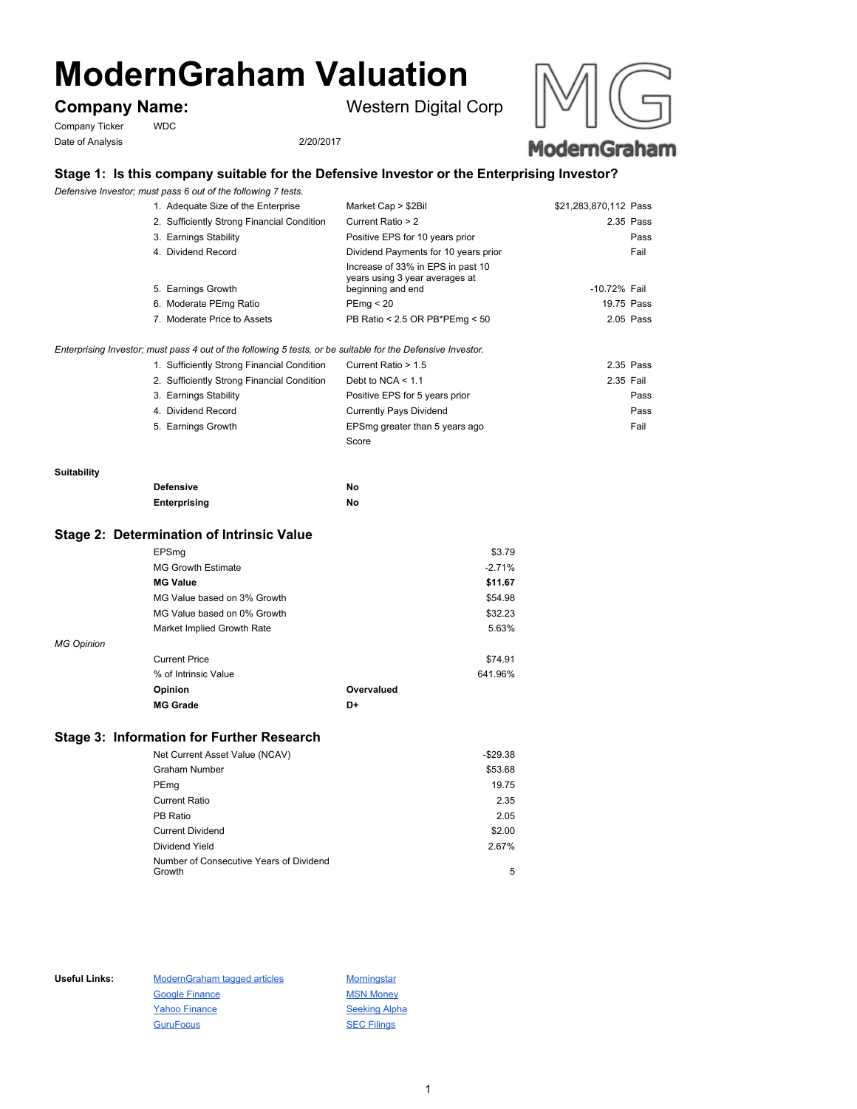# **ModernGraham Valuation**

Company Ticker WDC Date of Analysis 2/20/2017

**Company Name:** Western Digital Corp



## **Stage 1: Is this company suitable for the Defensive Investor or the Enterprising Investor?**

*Defensive Investor; must pass 6 out of the following 7 tests.*

| 1. Adequate Size of the Enterprise                                                                          | Market Cap > \$2Bil                                                                      | \$21,283,870,112 Pass |
|-------------------------------------------------------------------------------------------------------------|------------------------------------------------------------------------------------------|-----------------------|
| 2. Sufficiently Strong Financial Condition                                                                  | Current Ratio > 2                                                                        | 2.35 Pass             |
| 3. Earnings Stability                                                                                       | Positive EPS for 10 years prior                                                          | Pass                  |
| 4. Dividend Record                                                                                          | Dividend Payments for 10 years prior                                                     | Fail                  |
| 5. Earnings Growth                                                                                          | Increase of 33% in EPS in past 10<br>years using 3 year averages at<br>beginning and end | -10.72% Fail          |
| 6. Moderate PEmg Ratio                                                                                      | PEmq < 20                                                                                | 19.75 Pass            |
| 7. Moderate Price to Assets                                                                                 | PB Ratio < 2.5 OR PB*PEmg < $50$                                                         | $2.05$ Pass           |
| Enterprising Investor; must pass 4 out of the following 5 tests, or be suitable for the Defensive Investor. |                                                                                          |                       |
| 1. Sufficiently Strong Financial Condition                                                                  | Current Ratio > 1.5                                                                      | 2.35 Pass             |
| 2. Sufficiently Strong Financial Condition                                                                  | Debt to NCA $\leq 1.1$                                                                   | 2.35 Fail             |
| 3. Earnings Stability                                                                                       | Positive EPS for 5 years prior                                                           | Pass                  |
| 4. Dividend Record                                                                                          | Currently Pays Dividend                                                                  | Pass                  |
| 5. Earnings Growth                                                                                          | EPSmg greater than 5 years ago                                                           | Fail                  |
|                                                                                                             | Score                                                                                    |                       |

#### **Suitability**

| <b>Defensive</b> | No |
|------------------|----|
| Enterprising     | No |

#### **Stage 2: Determination of Intrinsic Value**

|                   | EPSmq                       |            | \$3.79   |
|-------------------|-----------------------------|------------|----------|
|                   | <b>MG Growth Estimate</b>   |            | $-2.71%$ |
|                   | <b>MG Value</b>             |            | \$11.67  |
|                   | MG Value based on 3% Growth |            | \$54.98  |
|                   | MG Value based on 0% Growth |            | \$32.23  |
|                   | Market Implied Growth Rate  |            | 5.63%    |
| <b>MG Opinion</b> |                             |            |          |
|                   | <b>Current Price</b>        |            | \$74.91  |
|                   | % of Intrinsic Value        |            | 641.96%  |
|                   | Opinion                     | Overvalued |          |
|                   | <b>MG Grade</b>             | D+         |          |

### **Stage 3: Information for Further Research**

| Net Current Asset Value (NCAV)          | $-$29.38$ |
|-----------------------------------------|-----------|
| Graham Number                           | \$53.68   |
| PEmg                                    | 19.75     |
| <b>Current Ratio</b>                    | 2.35      |
| PB Ratio                                | 2.05      |
| <b>Current Dividend</b>                 | \$2.00    |
| Dividend Yield                          | 2.67%     |
| Number of Consecutive Years of Dividend |           |
| Growth                                  | 5         |

Useful Links: ModernGraham tagged articles Morningstar Google Finance MSN Money Yahoo Finance Seeking Alpha GuruFocus SEC Filings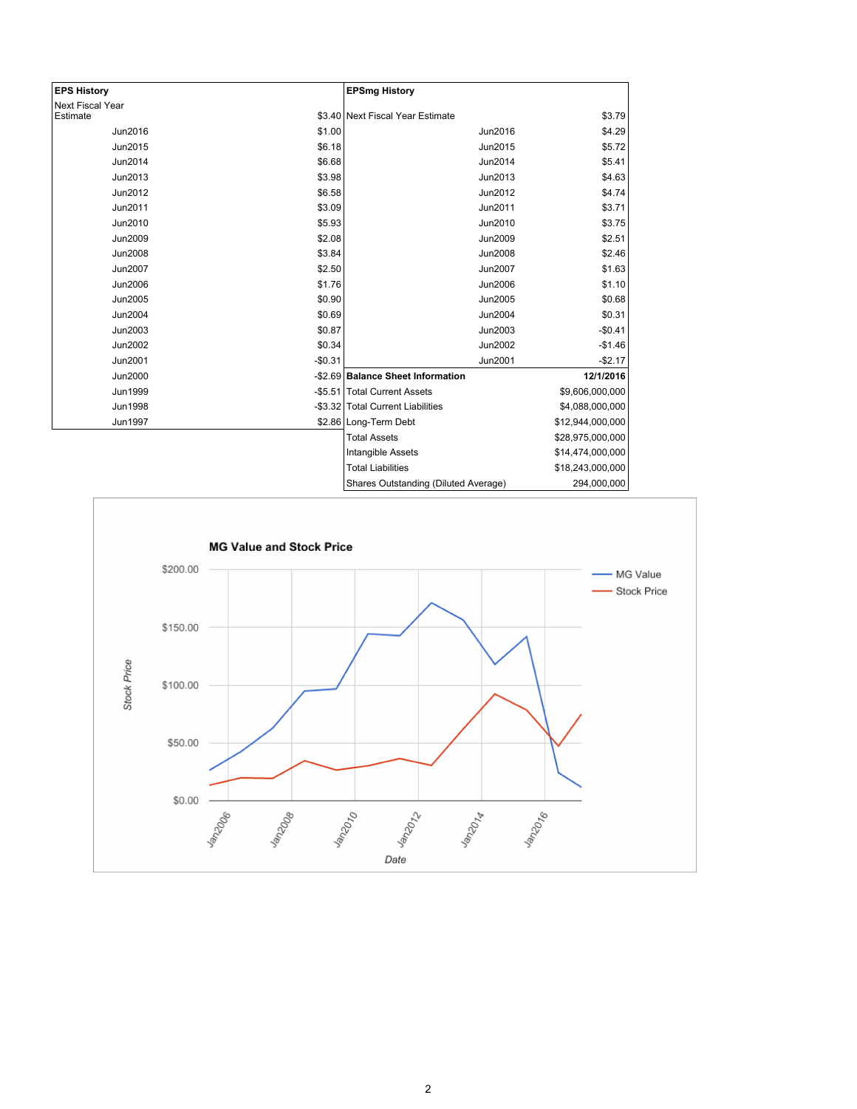| <b>EPS History</b>      |          | <b>EPSmg History</b>                 |                  |
|-------------------------|----------|--------------------------------------|------------------|
| <b>Next Fiscal Year</b> |          |                                      |                  |
| Estimate                |          | \$3.40 Next Fiscal Year Estimate     | \$3.79           |
| Jun2016                 | \$1.00   | Jun2016                              | \$4.29           |
| Jun2015                 | \$6.18   | Jun2015                              | \$5.72           |
| Jun2014                 | \$6.68   | Jun2014                              | \$5.41           |
| Jun2013                 | \$3.98   | Jun2013                              | \$4.63           |
| Jun2012                 | \$6.58   | Jun2012                              | \$4.74           |
| Jun2011                 | \$3.09   | Jun2011                              | \$3.71           |
| Jun2010                 | \$5.93   | Jun2010                              | \$3.75           |
| Jun2009                 | \$2.08   | <b>Jun2009</b>                       | \$2.51           |
| <b>Jun2008</b>          | \$3.84   | <b>Jun2008</b>                       | \$2.46           |
| <b>Jun2007</b>          | \$2.50   | Jun2007                              | \$1.63           |
| Jun2006                 | \$1.76   | <b>Jun2006</b>                       | \$1.10           |
| Jun2005                 | \$0.90   | Jun2005                              | \$0.68           |
| Jun2004                 | \$0.69   | Jun2004                              | \$0.31           |
| Jun2003                 | \$0.87   | Jun2003                              | $-$0.41$         |
| Jun2002                 | \$0.34   | Jun2002                              | $-$1.46$         |
| Jun2001                 | $-$0.31$ | Jun2001                              | $-$2.17$         |
| <b>Jun2000</b>          |          | -\$2.69 Balance Sheet Information    | 12/1/2016        |
| Jun1999                 |          | -\$5.51 Total Current Assets         | \$9,606,000,000  |
| <b>Jun1998</b>          |          | -\$3.32 Total Current Liabilities    | \$4,088,000,000  |
| Jun1997                 |          | \$2.86 Long-Term Debt                | \$12,944,000,000 |
|                         |          | <b>Total Assets</b>                  | \$28,975,000,000 |
|                         |          | <b>Intangible Assets</b>             | \$14,474,000,000 |
|                         |          | <b>Total Liabilities</b>             | \$18,243,000,000 |
|                         |          | Shares Outstanding (Diluted Average) | 294,000,000      |

L